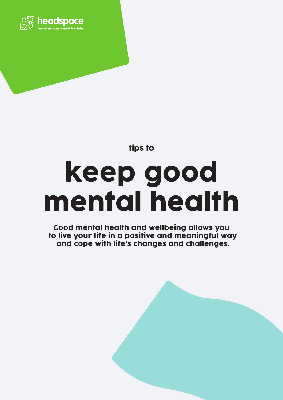

tips to

# keep good mental health

Good mental health and wellbeing allows you to live your life in a positive and meaningful way and cope with life's changes and challenges.